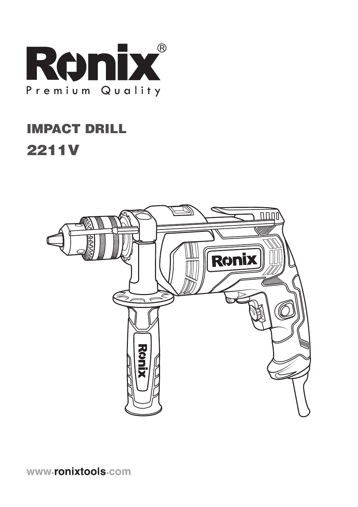

# **IMPACT DRILL 2211V**

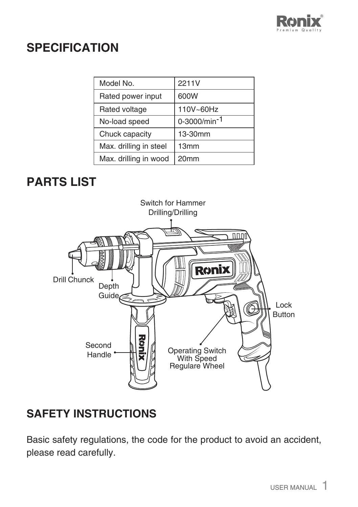

# **SPECIFICATION**

| Model No.              | 2211V                    |
|------------------------|--------------------------|
| Rated power input      | 600W                     |
| Rated voltage          | 110V~60Hz                |
| No-load speed          | 0-3000/min <sup>-1</sup> |
| Chuck capacity         | 13-30mm                  |
| Max. drilling in steel | 13mm                     |
| Max. drilling in wood  | 20mm                     |

### **PARTS LIST**



### **SAFETY INSTRUCTIONS**

Basic safety regulations, the code for the product to avoid an accident, please read carefully.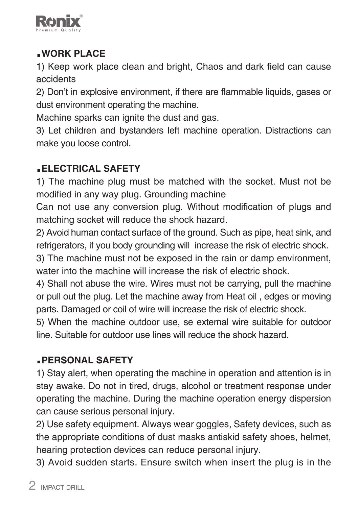

#### **.WORK PLACE**

1) Keep work place clean and bright, Chaos and dark field can cause accidents

2) Don't in explosive environment, if there are flammable liquids, gases or dust environment operating the machine.

Machine sparks can ignite the dust and gas.

3) Let children and bystanders left machine operation. Distractions can make you loose control.

### **.ELECTRICAL SAFETY**

1) The machine plug must be matched with the socket. Must not be modified in any way plug. Grounding machine

Can not use any conversion plug. Without modification of plugs and matching socket will reduce the shock hazard.

2) Avoid human contact surface of the ground. Such as pipe, heat sink, and refrigerators, if you body grounding will increase the risk of electric shock.

3) The machine must not be exposed in the rain or damp environment, water into the machine will increase the risk of electric shock.

4) Shall not abuse the wire. Wires must not be carrying, pull the machine or pull out the plug. Let the machine away from Heat oil , edges or moving parts. Damaged or coil of wire will increase the risk of electric shock.

5) When the machine outdoor use, se external wire suitable for outdoor line. Suitable for outdoor use lines will reduce the shock hazard.

### **.PERSONAL SAFETY**

1) Stay alert, when operating the machine in operation and attention is in stay awake. Do not in tired, drugs, alcohol or treatment response under operating the machine. During the machine operation energy dispersion can cause serious personal injury.

2) Use safety equipment. Always wear goggles, Safety devices, such as the appropriate conditions of dust masks antiskid safety shoes, helmet, hearing protection devices can reduce personal injury.

3) Avoid sudden starts. Ensure switch when insert the plug is in the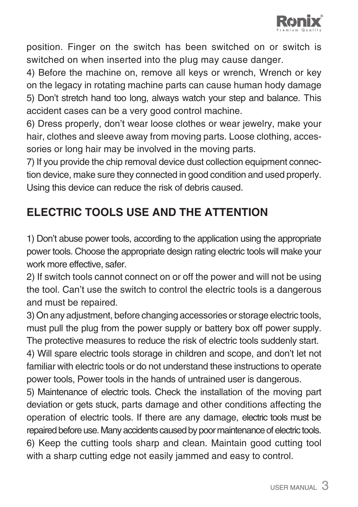

position. Finger on the switch has been switched on or switch is switched on when inserted into the plug may cause danger.

4) Before the machine on, remove all keys or wrench, Wrench or key on the legacy in rotating machine parts can cause human hody damage 5) Don't stretch hand too long, always watch your step and balance. This accident cases can be a very good control machine.

6) Dress properly, don't wear loose clothes or wear jewelry, make your hair, clothes and sleeve away from moving parts. Loose clothing, accessories or long hair may be involved in the moving parts.

7) If you provide the chip removal device dust collection equipment connection device, make sure they connected in good condition and used properly. Using this device can reduce the risk of debris caused.

# **ELECTRIC TOOLS USE AND THE ATTENTION**

1) Don't abuse power tools, according to the application using the appropriate power tools. Choose the appropriate design rating electric tools will make your work more effective, safer.

2) If switch tools cannot connect on or off the power and will not be using the tool. Can't use the switch to control the electric tools is a dangerous and must be repaired.

3) On any adjustment, before changing accessories or storage electric tools, must pull the plug from the power supply or battery box off power supply. The protective measures to reduce the risk of electric tools suddenly start.

4) Will spare electric tools storage in children and scope, and don't let not familiar with electric tools or do not understand these instructions to operate power tools, Power tools in the hands of untrained user is dangerous.

5) Maintenance of electric tools. Check the installation of the moving part deviation or gets stuck, parts damage and other conditions affecting the operation of electric tools. If there are any damage, electric tools must be repaired before use. Many accidents caused by poor maintenance of electric tools. 6) Keep the cutting tools sharp and clean. Maintain good cutting tool with a sharp cutting edge not easily jammed and easy to control.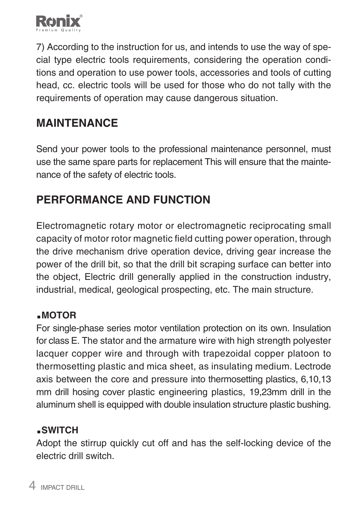

7) According to the instruction for us, and intends to use the way of special type electric tools requirements, considering the operation conditions and operation to use power tools, accessories and tools of cutting head, cc. electric tools will be used for those who do not tally with the requirements of operation may cause dangerous situation.

### **MAINTENANCE**

Send your power tools to the professional maintenance personnel, must use the same spare parts for replacement This will ensure that the maintenance of the safety of electric tools.

### **PERFORMANCE AND FUNCTION**

Electromagnetic rotary motor or electromagnetic reciprocating small capacity of motor rotor magnetic field cutting power operation, through the drive mechanism drive operation device, driving gear increase the power of the drill bit, so that the drill bit scraping surface can better into the object, Electric drill generally applied in the construction industry, industrial, medical, geological prospecting, etc. The main structure.

#### **.MOTOR**

For single-phase series motor ventilation protection on its own. Insulation for class E. The stator and the armature wire with high strength polyester lacquer copper wire and through with trapezoidal copper platoon to thermosetting plastic and mica sheet, as insulating medium. Lectrode axis between the core and pressure into thermosetting plastics, 6,10,13 mm drill hosing cover plastic engineering plastics, 19,23mm drill in the aluminum shell is equipped with double insulation structure plastic bushing.

#### **.SWITCH**

Adopt the stirrup quickly cut off and has the self-locking device of the electric drill switch.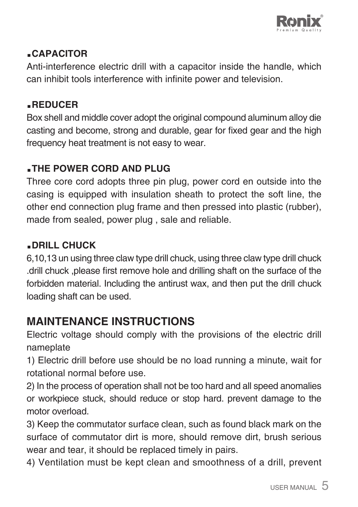

#### **.CAPACITOR**

Anti-interference electric drill with a capacitor inside the handle, which can inhibit tools interference with infinite power and television.

#### **.REDUCER**

Box shell and middle cover adopt the original compound aluminum alloy die casting and become, strong and durable, gear for fixed gear and the high frequency heat treatment is not easy to wear.

#### **.THE POWER CORD AND PLUG**

Three core cord adopts three pin plug, power cord en outside into the casing is equipped with insulation sheath to protect the soft line, the other end connection plug frame and then pressed into plastic (rubber), made from sealed, power plug , sale and reliable.

#### **.DRILL CHUCK**

6,10,13 un using three claw type drill chuck, using three claw type drill chuck .drill chuck ,please first remove hole and drilling shaft on the surface of the forbidden material. Including the antirust wax, and then put the drill chuck loading shaft can be used.

### **MAINTENANCE INSTRUCTIONS**

Electric voltage should comply with the provisions of the electric drill nameplate

1) Electric drill before use should be no load running a minute, wait for rotational normal before use.

2) In the process of operation shall not be too hard and all speed anomalies or workpiece stuck, should reduce or stop hard. prevent damage to the motor overload.

3) Keep the commutator surface clean, such as found black mark on the surface of commutator dirt is more, should remove dirt, brush serious wear and tear, it should be replaced timely in pairs.

4) Ventilation must be kept clean and smoothness of a drill, prevent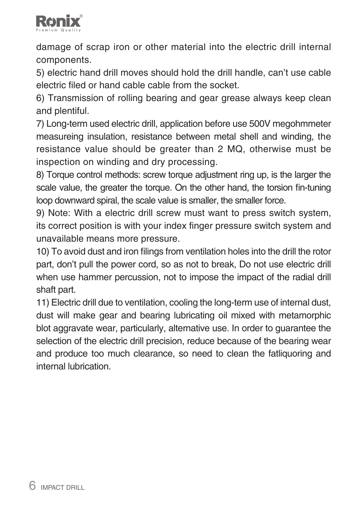

damage of scrap iron or other material into the electric drill internal components.

5) electric hand drill moves should hold the drill handle, can't use cable electric filed or hand cable cable from the socket.

6) Transmission of rolling bearing and gear grease always keep clean and plentiful.

7) Long-term used electric drill, application before use 500V megohmmeter measureing insulation, resistance between metal shell and winding, the resistance value should be greater than 2 MQ, otherwise must be inspection on winding and dry processing.

8) Torque control methods: screw torque adjustment ring up, is the larger the scale value, the greater the torque. On the other hand, the torsion fin-tuning loop downward spiral, the scale value is smaller, the smaller force.

9) Note: With a electric drill screw must want to press switch system, its correct position is with your index finger pressure switch system and unavailable means more pressure.

10) To avoid dust and iron filings from ventilation holes into the drill the rotor part, don't pull the power cord, so as not to break, Do not use electric drill when use hammer percussion, not to impose the impact of the radial drill shaft part.

11) Electric drill due to ventilation, cooling the long-term use of internal dust, dust will make gear and bearing lubricating oil mixed with metamorphic blot aggravate wear, particularly, alternative use. In order to guarantee the selection of the electric drill precision, reduce because of the bearing wear and produce too much clearance, so need to clean the fatliquoring and internal lubrication.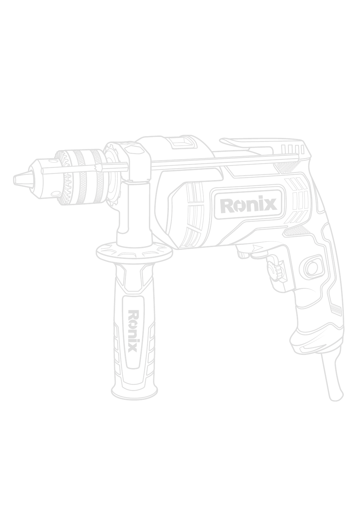